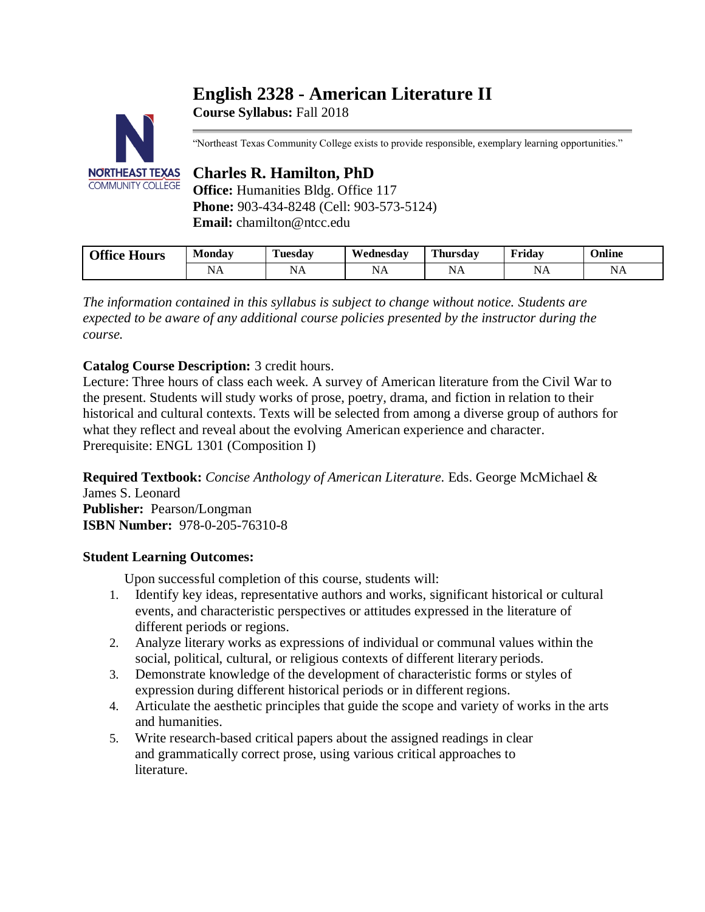# **English 2328 - American Literature II**



**Course Syllabus:** Fall 2018

"Northeast Texas Community College exists to provide responsible, exemplary learning opportunities."

## **Charles R. Hamilton, PhD**

**Office:** Humanities Bldg. Office 117 **Phone:** 903-434-8248 (Cell: 903-573-5124) **Email:** chamilton@ntcc.edu

| Office.<br>--<br><b>Hours</b> | Monday                                    | -<br>Tuesdav       | Wednesdav | <b>Thursday</b> | Fridav                                          | $\sim$ $\cdot$<br>Jnline                             |
|-------------------------------|-------------------------------------------|--------------------|-----------|-----------------|-------------------------------------------------|------------------------------------------------------|
|                               | ב/רי<br>the control of the control of the | יי<br>$\mathbf{A}$ | NA        | ◥<br>INA        | N<br>1 4 T T<br>the contract of the contract of | N<br><b>ב</b> זינ<br>the contract of the contract of |

*The information contained in this syllabus is subject to change without notice. Students are expected to be aware of any additional course policies presented by the instructor during the course.*

## **Catalog Course Description:** 3 credit hours.

Lecture: Three hours of class each week. A survey of American literature from the Civil War to the present. Students will study works of prose, poetry, drama, and fiction in relation to their historical and cultural contexts. Texts will be selected from among a diverse group of authors for what they reflect and reveal about the evolving American experience and character. Prerequisite: ENGL 1301 (Composition I)

**Required Textbook:** *Concise Anthology of American Literature.* Eds. George McMichael & James S. Leonard **Publisher:** Pearson/Longman **ISBN Number:** 978-0-205-76310-8

## **Student Learning Outcomes:**

Upon successful completion of this course, students will:

- 1. Identify key ideas, representative authors and works, significant historical or cultural events, and characteristic perspectives or attitudes expressed in the literature of different periods or regions.
- 2. Analyze literary works as expressions of individual or communal values within the social, political, cultural, or religious contexts of different literary periods.
- 3. Demonstrate knowledge of the development of characteristic forms or styles of expression during different historical periods or in different regions.
- 4. Articulate the aesthetic principles that guide the scope and variety of works in the arts and humanities.
- 5. Write research-based critical papers about the assigned readings in clear and grammatically correct prose, using various critical approaches to literature.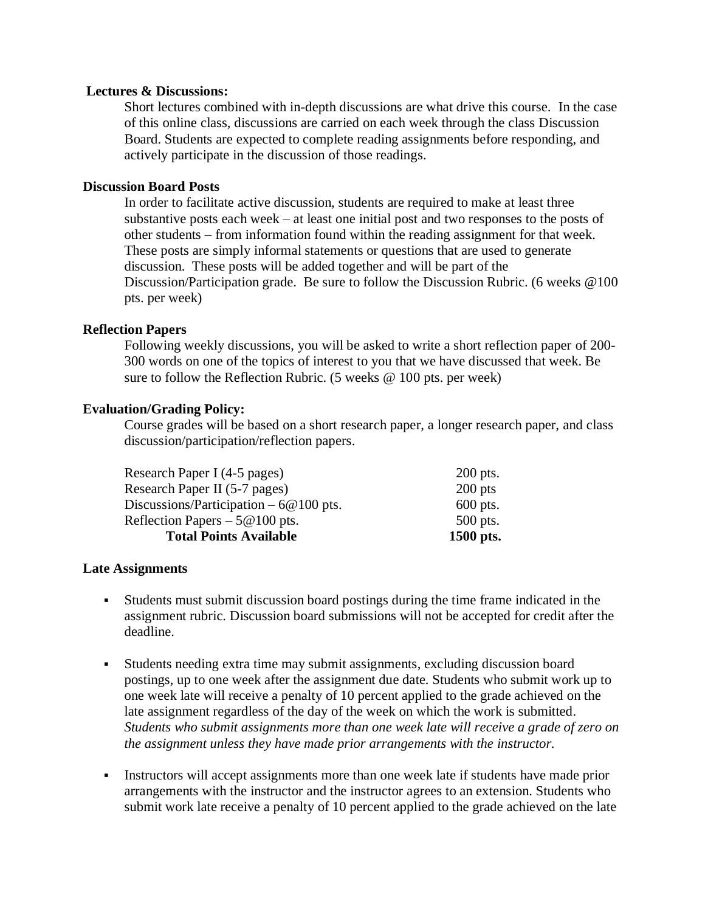#### **Lectures & Discussions:**

Short lectures combined with in-depth discussions are what drive this course. In the case of this online class, discussions are carried on each week through the class Discussion Board. Students are expected to complete reading assignments before responding, and actively participate in the discussion of those readings.

## **Discussion Board Posts**

In order to facilitate active discussion, students are required to make at least three substantive posts each week – at least one initial post and two responses to the posts of other students – from information found within the reading assignment for that week. These posts are simply informal statements or questions that are used to generate discussion. These posts will be added together and will be part of the Discussion/Participation grade. Be sure to follow the Discussion Rubric. (6 weeks @100 pts. per week)

#### **Reflection Papers**

Following weekly discussions, you will be asked to write a short reflection paper of 200- 300 words on one of the topics of interest to you that we have discussed that week. Be sure to follow the Reflection Rubric. (5 weeks  $\omega$  100 pts. per week)

#### **Evaluation/Grading Policy:**

Course grades will be based on a short research paper, a longer research paper, and class discussion/participation/reflection papers.

| <b>Total Points Available</b>           | 1500 pts.  |
|-----------------------------------------|------------|
| Reflection Papers $-5@100$ pts.         | 500 pts.   |
| Discussions/Participation $-6@100$ pts. | $600$ pts. |
| Research Paper II (5-7 pages)           | $200$ pts  |
| Research Paper I (4-5 pages)            | 200 pts.   |

#### **Late Assignments**

- Students must submit discussion board postings during the time frame indicated in the assignment rubric. Discussion board submissions will not be accepted for credit after the deadline.
- Students needing extra time may submit assignments, excluding discussion board postings, up to one week after the assignment due date. Students who submit work up to one week late will receive a penalty of 10 percent applied to the grade achieved on the late assignment regardless of the day of the week on which the work is submitted*. Students who submit assignments more than one week late will receive a grade of zero on the assignment unless they have made prior arrangements with the instructor.*
- Instructors will accept assignments more than one week late if students have made prior arrangements with the instructor and the instructor agrees to an extension. Students who submit work late receive a penalty of 10 percent applied to the grade achieved on the late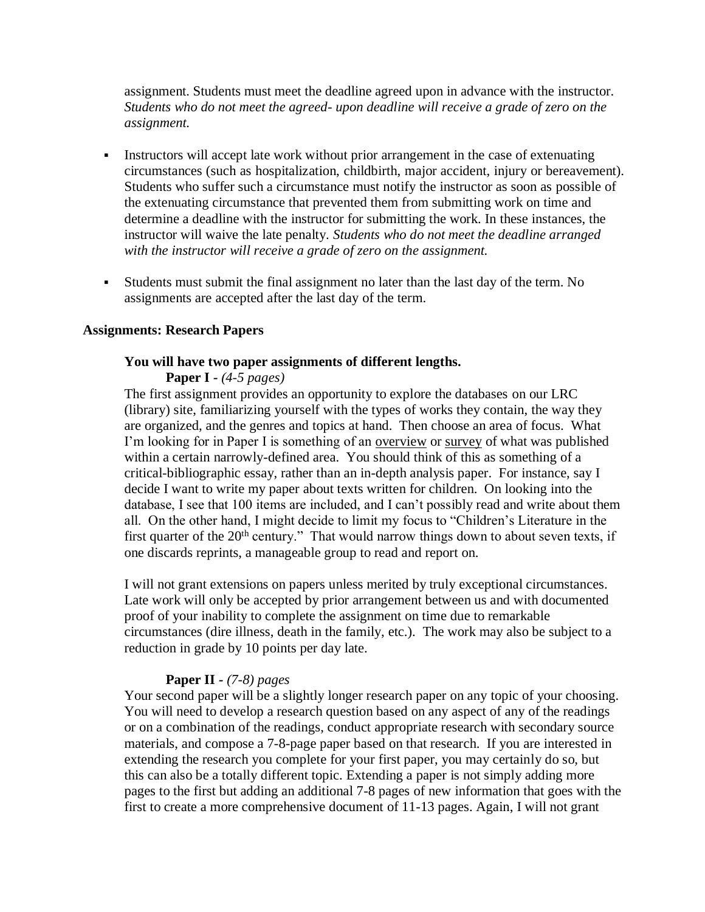assignment. Students must meet the deadline agreed upon in advance with the instructor. *Students who do not meet the agreed- upon deadline will receive a grade of zero on the assignment.*

- **•** Instructors will accept late work without prior arrangement in the case of extenuating circumstances (such as hospitalization, childbirth, major accident, injury or bereavement). Students who suffer such a circumstance must notify the instructor as soon as possible of the extenuating circumstance that prevented them from submitting work on time and determine a deadline with the instructor for submitting the work. In these instances, the instructor will waive the late penalty. *Students who do not meet the deadline arranged with the instructor will receive a grade of zero on the assignment.*
- Students must submit the final assignment no later than the last day of the term. No assignments are accepted after the last day of the term.

#### **Assignments: Research Papers**

#### **You will have two paper assignments of different lengths.**

**Paper I** *- (4-5 pages)*

The first assignment provides an opportunity to explore the databases on our LRC (library) site, familiarizing yourself with the types of works they contain, the way they are organized, and the genres and topics at hand. Then choose an area of focus. What I'm looking for in Paper I is something of an <u>overview</u> or survey of what was published within a certain narrowly-defined area. You should think of this as something of a critical-bibliographic essay, rather than an in-depth analysis paper. For instance, say I decide I want to write my paper about texts written for children. On looking into the database, I see that 100 items are included, and I can't possibly read and write about them all. On the other hand, I might decide to limit my focus to "Children's Literature in the first quarter of the  $20<sup>th</sup>$  century." That would narrow things down to about seven texts, if one discards reprints, a manageable group to read and report on.

I will not grant extensions on papers unless merited by truly exceptional circumstances. Late work will only be accepted by prior arrangement between us and with documented proof of your inability to complete the assignment on time due to remarkable circumstances (dire illness, death in the family, etc.). The work may also be subject to a reduction in grade by 10 points per day late.

#### **Paper II** *- (7-8) pages*

Your second paper will be a slightly longer research paper on any topic of your choosing. You will need to develop a research question based on any aspect of any of the readings or on a combination of the readings, conduct appropriate research with secondary source materials, and compose a 7-8-page paper based on that research. If you are interested in extending the research you complete for your first paper, you may certainly do so, but this can also be a totally different topic. Extending a paper is not simply adding more pages to the first but adding an additional 7-8 pages of new information that goes with the first to create a more comprehensive document of 11-13 pages. Again, I will not grant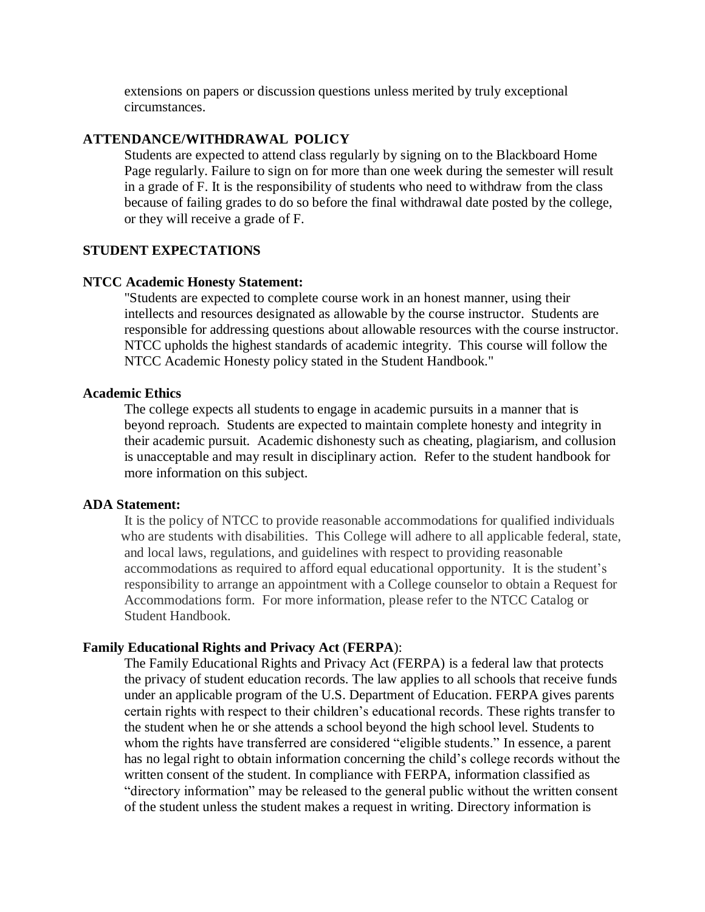extensions on papers or discussion questions unless merited by truly exceptional circumstances.

#### **ATTENDANCE/WITHDRAWAL POLICY**

Students are expected to attend class regularly by signing on to the Blackboard Home Page regularly. Failure to sign on for more than one week during the semester will result in a grade of F. It is the responsibility of students who need to withdraw from the class because of failing grades to do so before the final withdrawal date posted by the college, or they will receive a grade of F.

#### **STUDENT EXPECTATIONS**

#### **NTCC Academic Honesty Statement:**

"Students are expected to complete course work in an honest manner, using their intellects and resources designated as allowable by the course instructor. Students are responsible for addressing questions about allowable resources with the course instructor. NTCC upholds the highest standards of academic integrity. This course will follow the NTCC Academic Honesty policy stated in the Student Handbook."

#### **Academic Ethics**

The college expects all students to engage in academic pursuits in a manner that is beyond reproach. Students are expected to maintain complete honesty and integrity in their academic pursuit. Academic dishonesty such as cheating, plagiarism, and collusion is unacceptable and may result in disciplinary action. Refer to the student handbook for more information on this subject.

#### **ADA Statement:**

It is the policy of NTCC to provide reasonable accommodations for qualified individuals who are students with disabilities. This College will adhere to all applicable federal, state, and local laws, regulations, and guidelines with respect to providing reasonable accommodations as required to afford equal educational opportunity. It is the student's responsibility to arrange an appointment with a College counselor to obtain a Request for Accommodations form. For more information, please refer to the NTCC Catalog or Student Handbook.

#### **Family Educational Rights and Privacy Act** (**FERPA**):

The Family Educational Rights and Privacy Act (FERPA) is a federal law that protects the privacy of student education records. The law applies to all schools that receive funds under an applicable program of the U.S. Department of Education. FERPA gives parents certain rights with respect to their children's educational records. These rights transfer to the student when he or she attends a school beyond the high school level. Students to whom the rights have transferred are considered "eligible students." In essence, a parent has no legal right to obtain information concerning the child's college records without the written consent of the student. In compliance with FERPA, information classified as "directory information" may be released to the general public without the written consent of the student unless the student makes a request in writing. Directory information is